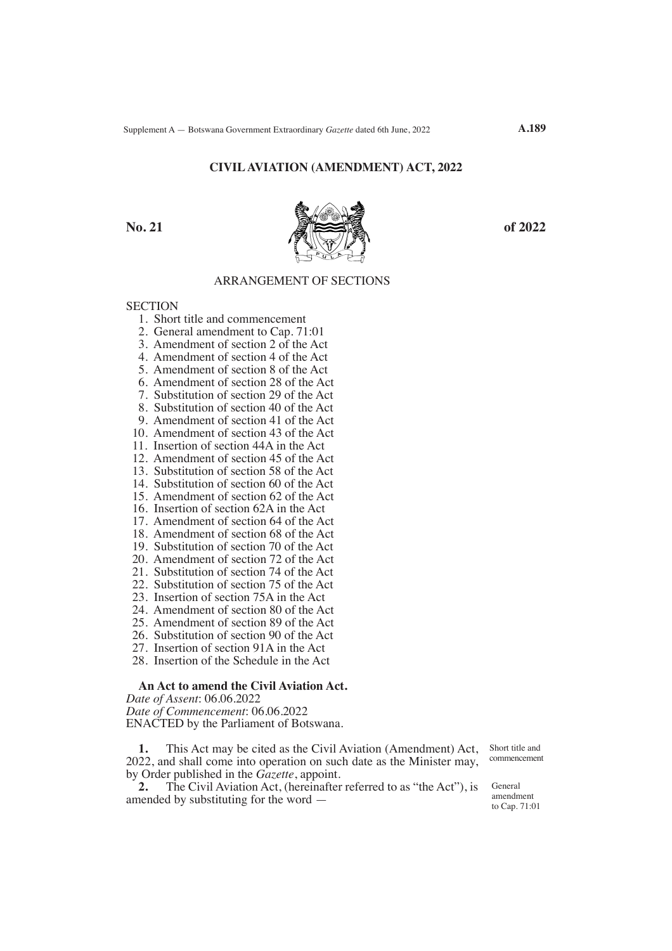### **CIVIL AVIATION (AMENDMENT) ACT, 2022**



**A.189**

# ARRANGEMENT OF SECTIONS

**SECTION** 

- 1. Short title and commencement
- 2. General amendment to Cap. 71:01
- 3. Amendment of section 2 of the Act
- 4. Amendment of section 4 of the Act
- 5. Amendment of section 8 of the Act
- 6. Amendment of section 28 of the Act
- 7. Substitution of section 29 of the Act
- 8. Substitution of section 40 of the Act
- 9. Amendment of section 41 of the Act
- 10. Amendment of section 43 of the Act
- 11. Insertion of section 44A in the Act
- 12. Amendment of section 45 of the Act
- 13. Substitution of section 58 of the Act
- 14. Substitution of section 60 of the Act
- 15. Amendment of section 62 of the Act
- 16. Insertion of section 62A in the Act
- 17. Amendment of section 64 of the Act
- 18. Amendment of section 68 of the Act
- 19. Substitution of section 70 of the Act
- 20. Amendment of section 72 of the Act
- 21. Substitution of section 74 of the Act
- 22. Substitution of section 75 of the Act
- 23. Insertion of section 75A in the Act
- 24. Amendment of section 80 of the Act
- 25. Amendment of section 89 of the Act
- 26. Substitution of section 90 of the Act
- 27. Insertion of section 91A in the Act
- 28. Insertion of the Schedule in the Act

# **An Act to amend the Civil Aviation Act.**

*Date of Assent*: 06.06.2022 *Date of Commencement*: 06.06.2022 ENACTED by the Parliament of Botswana.

**1.** This Act may be cited as the Civil Aviation (Amendment) Act, 2022, and shall come into operation on such date as the Minister may, by Order published in the *Gazette*, appoint.<br>2. The Civil Aviation Act. (hereinafter

**2.** The Civil Aviation Act, (hereinafter referred to as "the Act"), is amended by substituting for the word —

Short title and commencement

General amendment to Cap. 71:01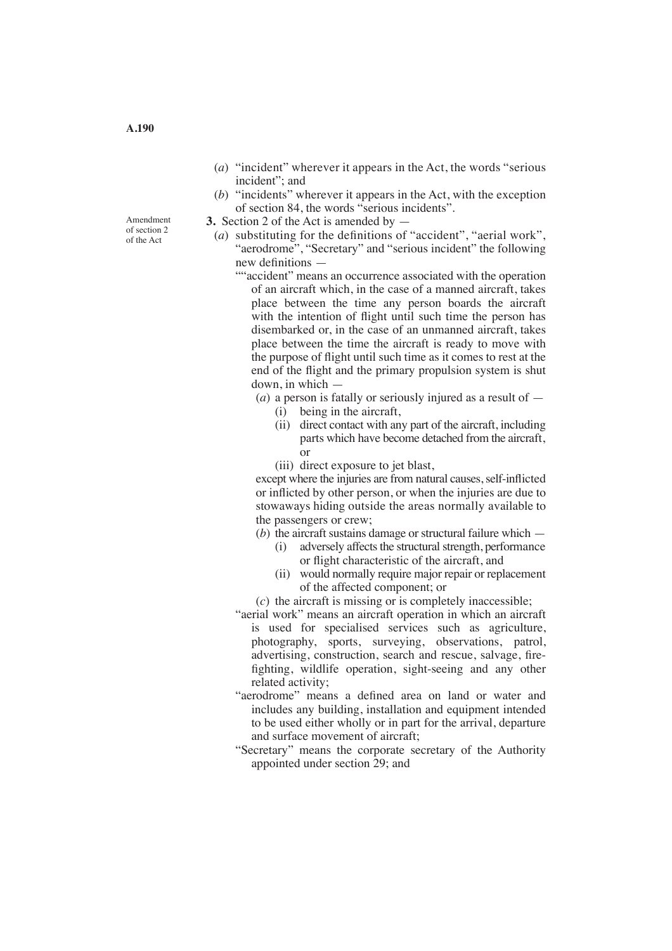- (*a*) "incident" wherever it appears in the Act, the words "serious incident"; and
- (*b*) "incidents" wherever it appears in the Act, with the exception of section 84, the words "serious incidents".
- **3.** Section 2 of the Act is amended by
	- (*a*) substituting for the definitions of "accident", "aerial work", "aerodrome", "Secretary" and "serious incident" the following new definitions —
		- ""accident" means an occurrence associated with the operation of an aircraft which, in the case of a manned aircraft, takes place between the time any person boards the aircraft with the intention of flight until such time the person has disembarked or, in the case of an unmanned aircraft, takes place between the time the aircraft is ready to move with the purpose of flight until such time as it comes to rest at the end of the flight and the primary propulsion system is shut down, in which —

(*a*) a person is fatally or seriously injured as a result of —

- (i) being in the aircraft,
- (ii) direct contact with any part of the aircraft, including parts which have become detached from the aircraft, or
	- (iii) direct exposure to jet blast,

except where the injuries are from natural causes, self-inflicted or inflicted by other person, or when the injuries are due to stowaways hiding outside the areas normally available to the passengers or crew;

- (*b*) the aircraft sustains damage or structural failure which
	- (i) adversely affects the structural strength, performance or flight characteristic of the aircraft, and
	- (ii) would normally require major repair or replacement of the affected component; or
- (*c*) the aircraft is missing or is completely inaccessible;
- "aerial work" means an aircraft operation in which an aircraft is used for specialised services such as agriculture, photography, sports, surveying, observations, patrol, advertising, construction, search and rescue, salvage, firefighting, wildlife operation, sight-seeing and any other related activity;
- "aerodrome" means a defined area on land or water and includes any building, installation and equipment intended to be used either wholly or in part for the arrival, departure and surface movement of aircraft;
- "Secretary" means the corporate secretary of the Authority appointed under section 29; and

Amendment of section 2 of the Act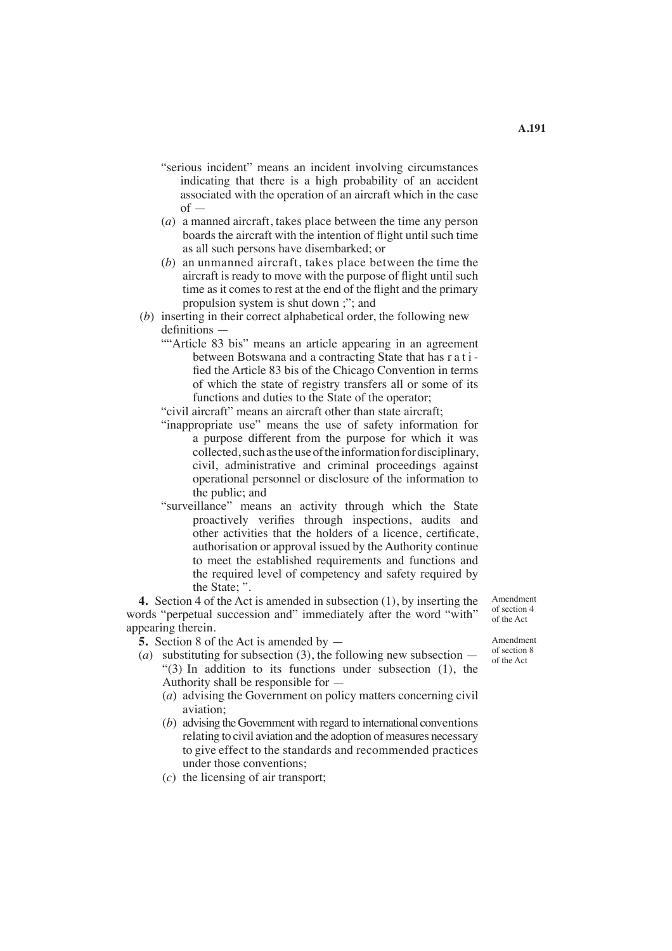- "serious incident" means an incident involving circumstances indicating that there is a high probability of an accident associated with the operation of an aircraft which in the case  $of$
- (*a*) a manned aircraft, takes place between the time any person boards the aircraft with the intention of flight until such time as all such persons have disembarked; or
- (b) an unmanned aircraft, takes place between the time the aircraft is ready to move with the purpose of flight until such time as it comes to rest at the end of the flight and the primary propulsion system is shut down ;"; and
- (*b*) inserting in their correct alphabetical order, the following new definitions —
	- ""Article 83 bis" means an article appearing in an agreement between Botswana and a contracting State that has r a t i fied the Article 83 bis of the Chicago Convention in terms of which the state of registry transfers all or some of its functions and duties to the State of the operator;
	- "civil aircraft" means an aircraft other than state aircraft;
	- "inappropriate use" means the use of safety information for a purpose different from the purpose for which it was collected, such as the use of the information for disciplinary, civil, administrative and criminal proceedings against operational personnel or disclosure of the information to the public; and
	- "surveillance" means an activity through which the State proactively verifies through inspections, audits and other activities that the holders of a licence, certificate, authorisation or approval issued by the Authority continue to meet the established requirements and functions and the required level of competency and safety required by the State; ".

**4.** Section 4 of the Act is amended in subsection (1), by inserting the words "perpetual succession and" immediately after the word "with" appearing therein.

**5.** Section 8 of the Act is amended by —

- (*a*) substituting for subsection (3), the following new subsection "(3) In addition to its functions under subsection (1), the Authority shall be responsible for —
	- (*a*) advising the Government on policy matters concerning civil aviation;
	- (*b*) advising the Government with regard to international conventions relating to civil aviation and the adoption of measures necessary to give effect to the standards and recommended practices under those conventions;
	- (*c*) the licensing of air transport;

Amendment of section 4 of the Act

Amendment of section 8 of the Act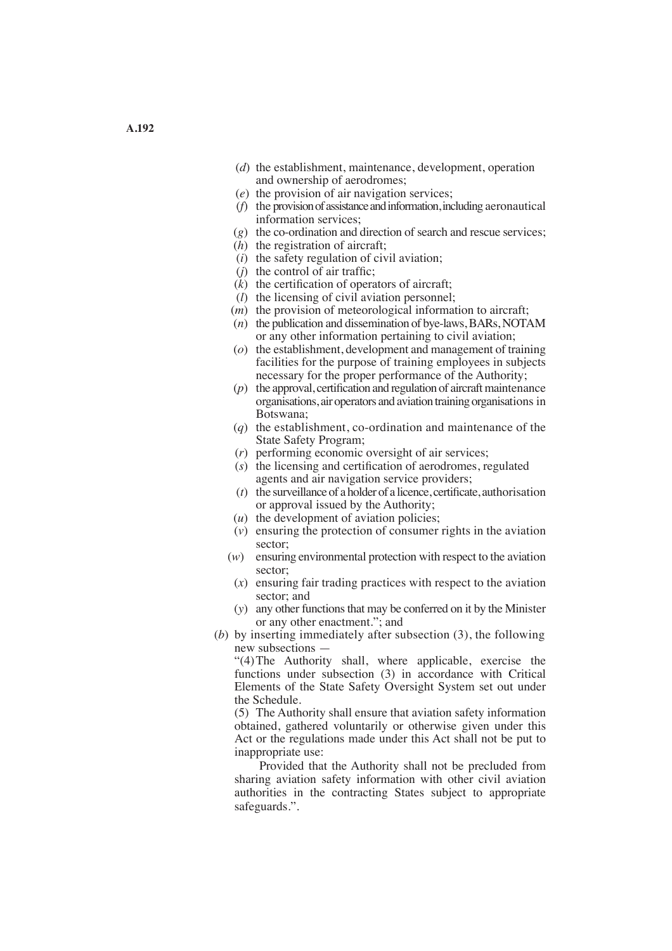- (*d*) the establishment, maintenance, development, operation and ownership of aerodromes;
- (*e*) the provision of air navigation services;
- (*f*) the provision of assistance and information, including aeronautical information services;
- (*g*) the co-ordination and direction of search and rescue services;
- $(h)$  the registration of aircraft:
- (*i*) the safety regulation of civil aviation;
- $(i)$  the control of air traffic;
- $(k)$  the certification of operators of aircraft;
- (*l*) the licensing of civil aviation personnel;
- (*m*) the provision of meteorological information to aircraft;
- (*n*) the publication and dissemination of bye-laws, BARs, NOTAM or any other information pertaining to civil aviation;
- (*o*) the establishment, development and management of training facilities for the purpose of training employees in subjects necessary for the proper performance of the Authority;
- $(p)$  the approval, certification and regulation of aircraft maintenance organisations, air operators and aviation training organisations in Botswana;
- (*q*) the establishment, co-ordination and maintenance of the State Safety Program;
- (*r*) performing economic oversight of air services;
- (*s*) the licensing and certification of aerodromes, regulated agents and air navigation service providers;
- (*t*) the surveillance of a holder of a licence, certificate, authorisation or approval issued by the Authority;
- (*u*) the development of aviation policies;
- (*v*) ensuring the protection of consumer rights in the aviation sector;
- (*w*) ensuring environmental protection with respect to the aviation sector;
- (*x*) ensuring fair trading practices with respect to the aviation sector; and
- (*y*) any other functions that may be conferred on it by the Minister or any other enactment."; and
- (*b*) by inserting immediately after subsection (3), the following new subsections —

"(4)The Authority shall, where applicable, exercise the functions under subsection (3) in accordance with Critical Elements of the State Safety Oversight System set out under the Schedule.

(5) The Authority shall ensure that aviation safety information obtained, gathered voluntarily or otherwise given under this Act or the regulations made under this Act shall not be put to inappropriate use:

 Provided that the Authority shall not be precluded from sharing aviation safety information with other civil aviation authorities in the contracting States subject to appropriate safeguards.".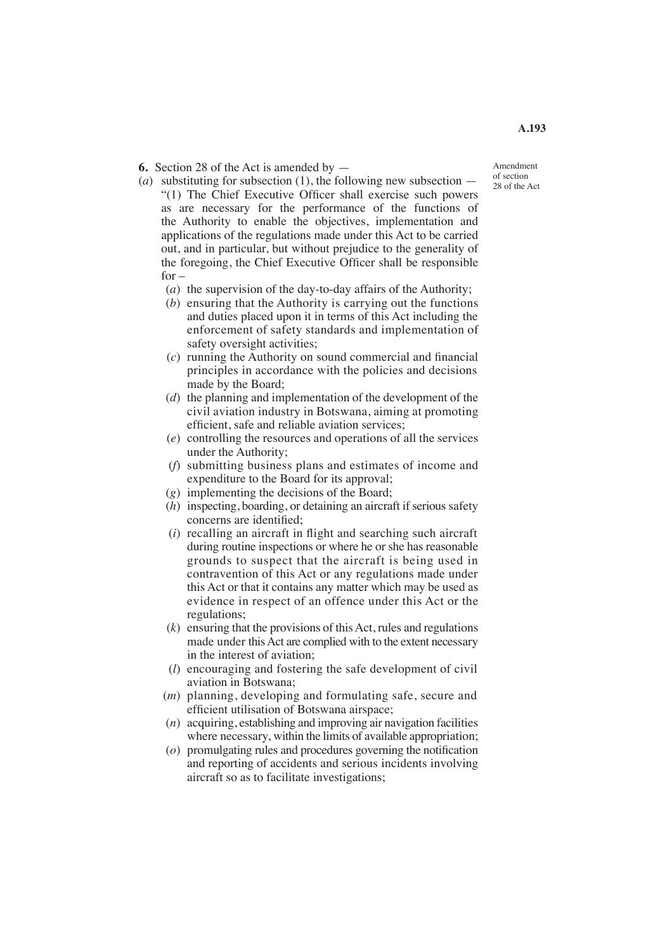**6.** Section 28 of the Act is amended by —

- Amendment of section 28 of the Act
- (*a*) substituting for subsection (1), the following new subsection  $-$ "(1) The Chief Executive Officer shall exercise such powers as are necessary for the performance of the functions of the Authority to enable the objectives, implementation and applications of the regulations made under this Act to be carried out, and in particular, but without prejudice to the generality of the foregoing, the Chief Executive Officer shall be responsible  $for -$ 
	- (*a*) the supervision of the day-to-day affairs of the Authority;
	- (*b*) ensuring that the Authority is carrying out the functions and duties placed upon it in terms of this Act including the enforcement of safety standards and implementation of safety oversight activities;
	- (*c*) running the Authority on sound commercial and financial principles in accordance with the policies and decisions made by the Board;
	- (*d*) the planning and implementation of the development of the civil aviation industry in Botswana, aiming at promoting efficient, safe and reliable aviation services;
	- (*e*) controlling the resources and operations of all the services under the Authority;
	- (*f*) submitting business plans and estimates of income and expenditure to the Board for its approval;
	- (*g*) implementing the decisions of the Board;
	- (*h*) inspecting, boarding, or detaining an aircraft if serious safety concerns are identified;
	- (*i*) recalling an aircraft in flight and searching such aircraft during routine inspections or where he or she has reasonable grounds to suspect that the aircraft is being used in contravention of this Act or any regulations made under this Act or that it contains any matter which may be used as evidence in respect of an offence under this Act or the regulations;
	- (*k*) ensuring that the provisions of this Act, rules and regulations made under this Act are complied with to the extent necessary in the interest of aviation;
	- (*l*) encouraging and fostering the safe development of civil aviation in Botswana;
	- (*m*) planning, developing and formulating safe, secure and efficient utilisation of Botswana airspace;
	- (*n*) acquiring, establishing and improving air navigation facilities where necessary, within the limits of available appropriation;
	- (*o*) promulgating rules and procedures governing the notification and reporting of accidents and serious incidents involving aircraft so as to facilitate investigations;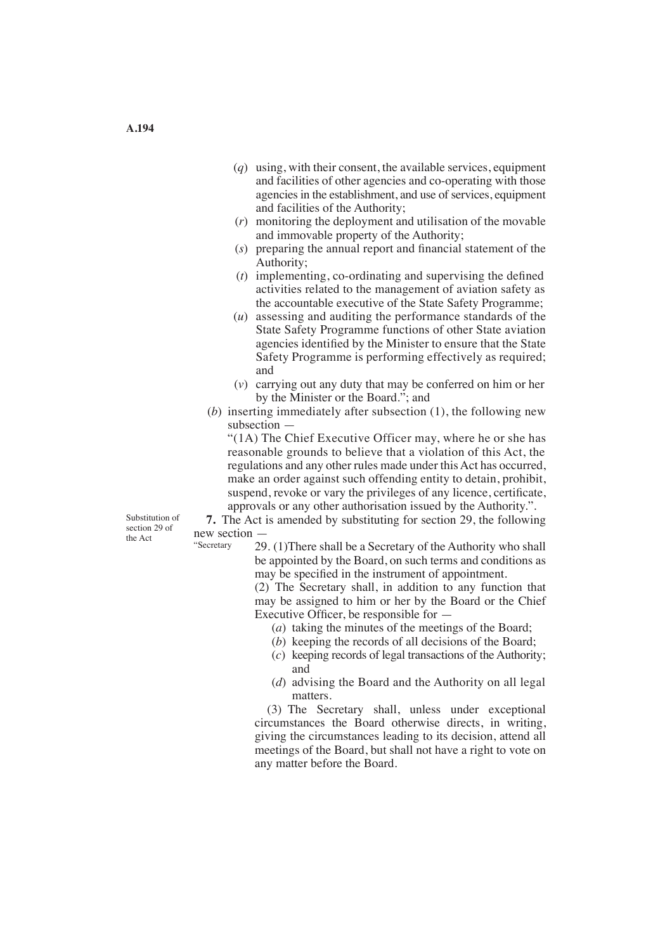- (*q*) using, with their consent, the available services, equipment and facilities of other agencies and co-operating with those agencies in the establishment, and use of services, equipment and facilities of the Authority;
- (*r*) monitoring the deployment and utilisation of the movable and immovable property of the Authority;
- (*s*) preparing the annual report and financial statement of the Authority;
- (*t*) implementing, co-ordinating and supervising the defined activities related to the management of aviation safety as the accountable executive of the State Safety Programme;
- (*u*) assessing and auditing the performance standards of the State Safety Programme functions of other State aviation agencies identified by the Minister to ensure that the State Safety Programme is performing effectively as required; and
- (*v*) carrying out any duty that may be conferred on him or her by the Minister or the Board."; and
- (*b*) inserting immediately after subsection (1), the following new subsection —

 "(1A) The Chief Executive Officer may, where he or she has reasonable grounds to believe that a violation of this Act, the regulations and any other rules made under this Act has occurred, make an order against such offending entity to detain, prohibit, suspend, revoke or vary the privileges of any licence, certificate, approvals or any other authorisation issued by the Authority.".

Substitution of section 29 of the Act

**7.** The Act is amended by substituting for section 29, the following new section — "Secretary

29. (1)There shall be a Secretary of the Authority who shall be appointed by the Board, on such terms and conditions as may be specified in the instrument of appointment.

(2) The Secretary shall, in addition to any function that may be assigned to him or her by the Board or the Chief Executive Officer, be responsible for —

- (*a*) taking the minutes of the meetings of the Board;
- (*b*) keeping the records of all decisions of the Board;
- (*c*) keeping records of legal transactions of the Authority; and
- (*d*) advising the Board and the Authority on all legal matters.

(3) The Secretary shall, unless under exceptional circumstances the Board otherwise directs, in writing, giving the circumstances leading to its decision, attend all meetings of the Board, but shall not have a right to vote on any matter before the Board.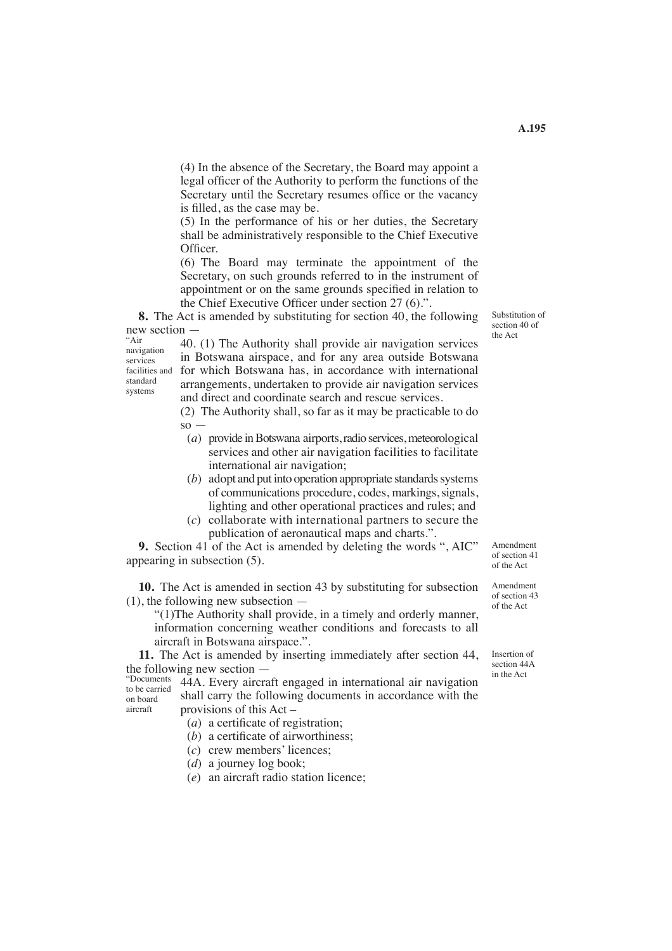(4) In the absence of the Secretary, the Board may appoint a legal officer of the Authority to perform the functions of the Secretary until the Secretary resumes office or the vacancy is filled, as the case may be.

(5) In the performance of his or her duties, the Secretary shall be administratively responsible to the Chief Executive Officer.

(6) The Board may terminate the appointment of the Secretary, on such grounds referred to in the instrument of appointment or on the same grounds specified in relation to the Chief Executive Officer under section 27 (6).".

**8.** The Act is amended by substituting for section 40, the following new section  $-\frac{1}{40}$ 

navigation services facilities and standard systems

 $\frac{40}{10}$  and  $\frac{40}{10}$ . (1) The Authority shall provide air navigation services the Act navigation. in Botswana airspace, and for any area outside Botswana for which Botswana has, in accordance with international arrangements, undertaken to provide air navigation services and direct and coordinate search and rescue services.

> (2) The Authority shall, so far as it may be practicable to do  $\mathbf{s} \circ$  —

- (*a*) provide in Botswana airports, radio services, meteorological services and other air navigation facilities to facilitate international air navigation;
- (*b*) adopt and put into operation appropriate standards systems of communications procedure, codes, markings,signals, lighting and other operational practices and rules; and
- (*c*) collaborate with international partners to secure the publication of aeronautical maps and charts.".

**9.** Section 41 of the Act is amended by deleting the words ", AIC" appearing in subsection (5).

**10.** The Act is amended in section 43 by substituting for subsection (1), the following new subsection —

"(1)The Authority shall provide, in a timely and orderly manner, information concerning weather conditions and forecasts to all aircraft in Botswana airspace.".

**11.** The Act is amended by inserting immediately after section 44, the following new section  $-$ <br>"Documents 444.  $\Gamma$ 

the Following new section<br>"Documents" 44A. Every aircraft engaged in international air navigation in the Act shall carry the following documents in accordance with the provisions of this Act – to be carried on board aircraft

(*a*) a certificate of registration;

 $(b)$  a certificate of airworthiness:

- (*c*) crew members' licences;
- (*d*) a journey log book;
- (*e*) an aircraft radio station licence;

Substitution of section 40 of

Amendment of section 41 of the Act

Amendment of section 43 of the Act

Insertion of section 44A<br>in the Act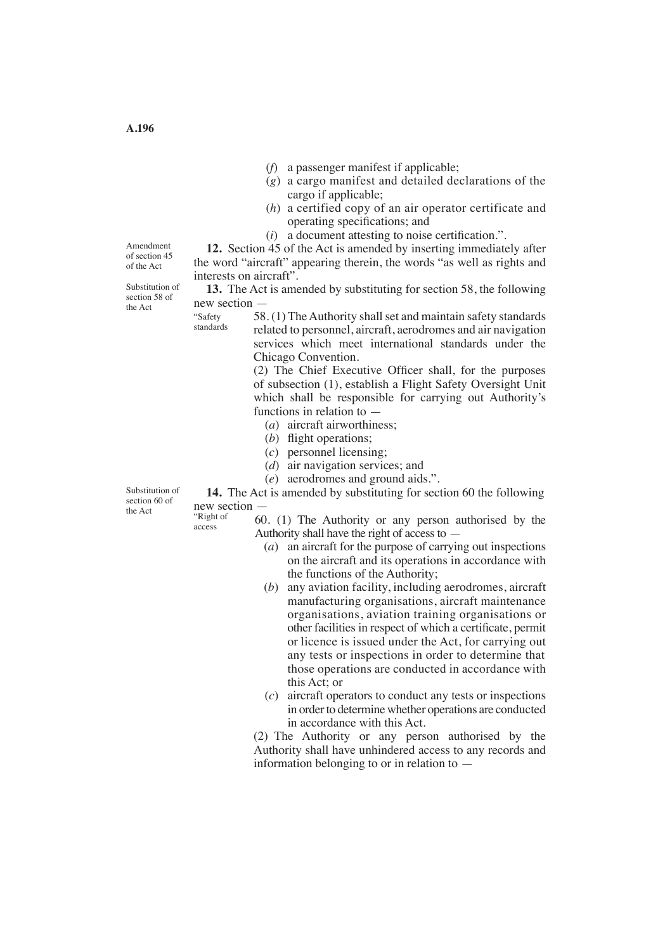- (*f*) a passenger manifest if applicable;
- (*g*) a cargo manifest and detailed declarations of the cargo if applicable;
- (*h*) a certified copy of an air operator certificate and operating specifications; and
- $(i)$  a document attesting to noise certification.".

**12.** Section 45 of the Act is amended by inserting immediately after the word "aircraft" appearing therein, the words "as well as rights and interests on aircraft".

**13.** The Act is amended by substituting for section 58, the following new section —

58. (1) The Authority shall set and maintain safety standards related to personnel, aircraft, aerodromes and air navigation services which meet international standards under the Chicago Convention. "Safety standards

> (2) The Chief Executive Officer shall, for the purposes of subsection (1), establish a Flight Safety Oversight Unit which shall be responsible for carrying out Authority's functions in relation to —

- (*a*) aircraft airworthiness;
- (*b*) flight operations;
- (*c*) personnel licensing;
- (*d*) air navigation services; and
- (*e*) aerodromes and ground aids.".

**14.** The Act is amended by substituting for section 60 the following new section —

"Right of access

60. (1) The Authority or any person authorised by the Authority shall have the right of access to —

- (*a*) an aircraft for the purpose of carrying out inspections on the aircraft and its operations in accordance with the functions of the Authority;
- (*b*) any aviation facility, including aerodromes, aircraft manufacturing organisations, aircraft maintenance organisations, aviation training organisations or other facilities in respect of which a certificate, permit or licence is issued under the Act, for carrying out any tests or inspections in order to determine that those operations are conducted in accordance with this Act; or
- (*c*) aircraft operators to conduct any tests or inspections in order to determine whether operations are conducted in accordance with this Act.

(2) The Authority or any person authorised by the Authority shall have unhindered access to any records and information belonging to or in relation to —

Amendment of section 45 of the Act

Substitution of section 58 of the Act

Substitution of section 60 of<br>the Act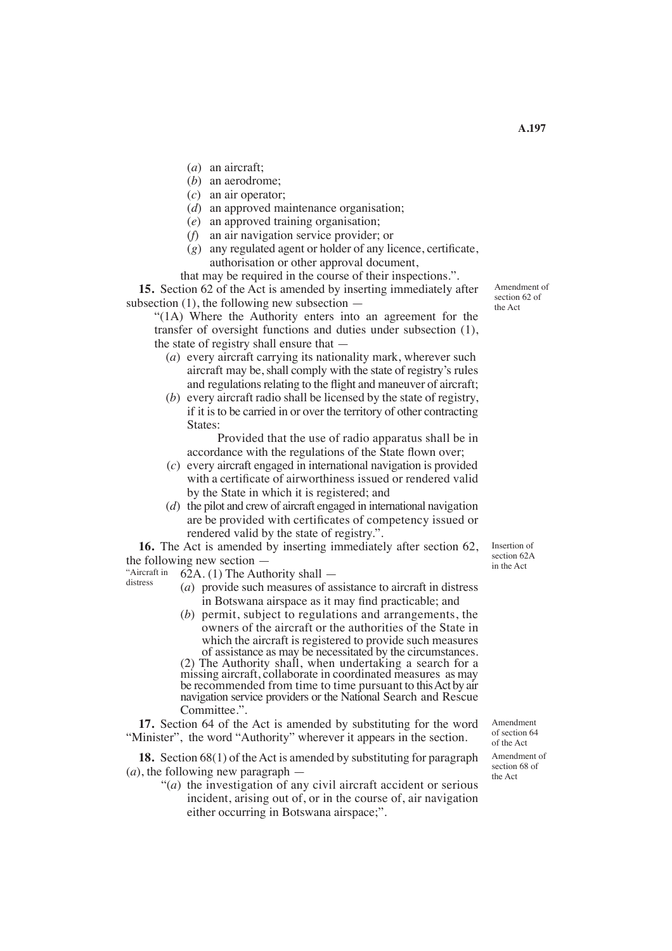- (*a*) an aircraft;
- (*b*) an aerodrome;
- (*c*) an air operator;
- (*d*) an approved maintenance organisation;
- (*e*) an approved training organisation;
- (*f*) an air navigation service provider; or
- (*g*) any regulated agent or holder of any licence, certificate, authorisation or other approval document,

that may be required in the course of their inspections.".

**15.** Section 62 of the Act is amended by inserting immediately after subsection  $(1)$ , the following new subsection  $-$ 

"(1A) Where the Authority enters into an agreement for the transfer of oversight functions and duties under subsection (1), the state of registry shall ensure that —

- $(a)$  every aircraft carrying its nationality mark, wherever such aircraft may be, shall comply with the state of registry's rules and regulations relating to the flight and maneuver of aircraft;
- (*b*) every aircraft radio shall be licensed by the state of registry, if it is to be carried in or over the territory of other contracting States:

 Provided that the use of radio apparatus shall be in accordance with the regulations of the State flown over;

- (*c*) every aircraft engaged in international navigation is provided with a certificate of airworthiness issued or rendered valid by the State in which it is registered; and
- (*d*) the pilot and crew of aircraft engaged in international navigation are be provided with certificates of competency issued or rendered valid by the state of registry.".

**16.** The Act is amended by inserting immediately after section 62, the following new section —

62A. (1) The Authority shall — "Aircraft in distress

- (*a*) provide such measures of assistance to aircraft in distress in Botswana airspace as it may find practicable; and
- (*b*) permit, subject to regulations and arrangements, the owners of the aircraft or the authorities of the State in which the aircraft is registered to provide such measures of assistance as may be necessitated by the circumstances. (2) The Authority shall, when undertaking a search for a missing aircraft, collaborate in coordinated measures as may be recommended from time to time pursuant to this Act by air navigation service providers or the National Search and Rescue Committee.".

**17.** Section 64 of the Act is amended by substituting for the word "Minister", the word "Authority" wherever it appears in the section.

**18.** Section 68(1) of the Act is amended by substituting for paragraph (*a*), the following new paragraph —

"(*a*) the investigation of any civil aircraft accident or serious incident, arising out of, or in the course of, air navigation either occurring in Botswana airspace;".

Insertion of section 62A in the Act

Amendment of section 64 of the Act Amendment of section 68 of the Act

Amendment of section 62 of the Act

**A.197**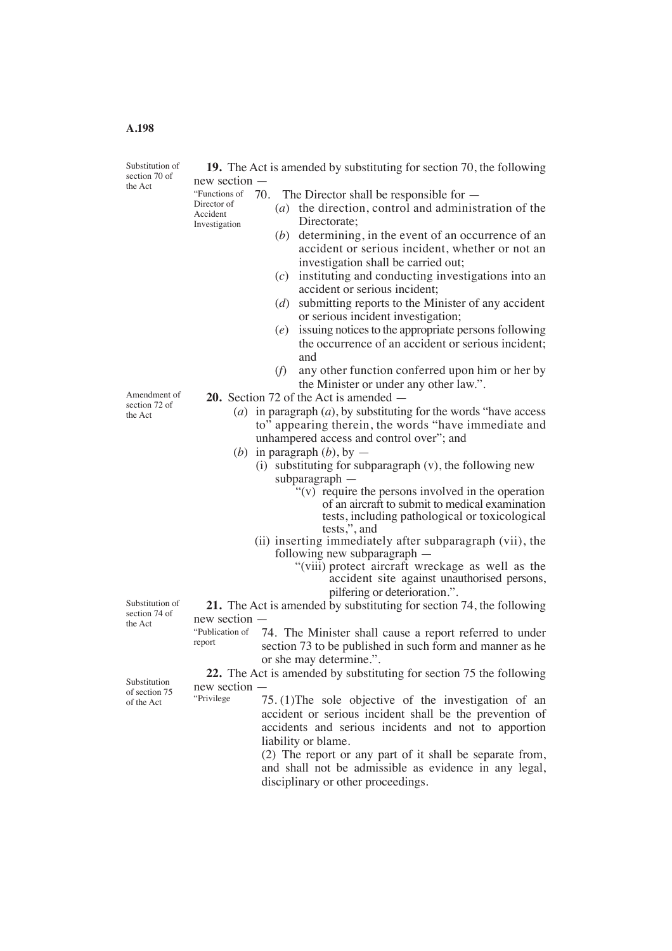# **A.198**

Substitution of section 70 of the Act

> Director of Accident Investigation

**19.** The Act is amended by substituting for section 70, the following new section —

- "Functions of  $\,$  70. The Director shall be responsible for  $-$  (*a*) the direction, control and administration of the Directorate; (*b*) determining, in the event of an occurrence of an accident or serious incident, whether or not an investigation shall be carried out; (*c*) instituting and conducting investigations into an accident or serious incident; (*d*) submitting reports to the Minister of any accident
	- or serious incident investigation;
	- (*e*) issuing notices to the appropriate persons following the occurrence of an accident or serious incident; and
	- (*f*) any other function conferred upon him or her by the Minister or under any other law.".

**20.** Section 72 of the Act is amended —

- (*a*) in paragraph (*a*), by substituting for the words "have access to" appearing therein, the words "have immediate and unhampered access and control over"; and
- (*b*) in paragraph  $(b)$ , by  $-$ 
	- $(i)$  substituting for subparagraph  $(v)$ , the following new subparagraph
		- $f'(v)$  require the persons involved in the operation of an aircraft to submit to medical examination tests, including pathological or toxicological tests,", and
	- (ii) inserting immediately after subparagraph (vii), the following new subparagraph —
		- "(viii) protect aircraft wreckage as well as the accident site against unauthorised persons, pilfering or deterioration.".

**21.** The Act is amended by substituting for section 74, the following new section —

74. The Minister shall cause a report referred to under section 73 to be published in such form and manner as he or she may determine.". "Publication of report

**22.** The Act is amended by substituting for section 75 the following new section —

> 75. (1)The sole objective of the investigation of an accident or serious incident shall be the prevention of accidents and serious incidents and not to apportion liability or blame.

(2) The report or any part of it shall be separate from, and shall not be admissible as evidence in any legal, disciplinary or other proceedings.

Substitution of section 74 of the Act

Substitution of section 75 of the  $Act$  "Privilege"

Amendment of section 72 of the Act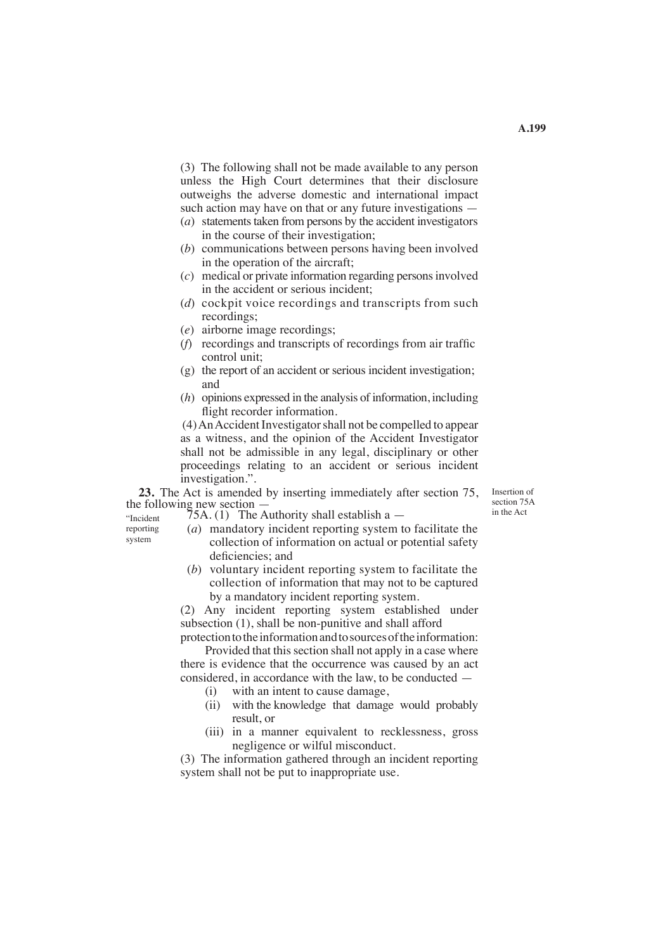(3) The following shall not be made available to any person unless the High Court determines that their disclosure outweighs the adverse domestic and international impact such action may have on that or any future investigations —

- $(a)$  statements taken from persons by the accident investigators in the course of their investigation;
- (*b*) communications between persons having been involved in the operation of the aircraft;
- (*c*) medical or private information regarding persons involved in the accident or serious incident;
- (*d*) cockpit voice recordings and transcripts from such recordings;
- (*e*) airborne image recordings;
- (*f*) recordings and transcripts of recordings from air traffic control unit;
- (g) the report of an accident or serious incident investigation; and
- (*h*) opinions expressed in the analysis of information, including flight recorder information.

 (4) An Accident Investigator shall not be compelled to appear as a witness, and the opinion of the Accident Investigator shall not be admissible in any legal, disciplinary or other proceedings relating to an accident or serious incident investigation.".

**23.** The Act is amended by inserting immediately after section 75, the following new section -

Insertion of section 75A in the Act

 $75A. (1)$  The Authority shall establish a  $-$ 

- "Incident reporting system
- (*a*) mandatory incident reporting system to facilitate the collection of information on actual or potential safety deficiencies; and
- (*b*) voluntary incident reporting system to facilitate the collection of information that may not to be captured by a mandatory incident reporting system.

(2) Any incident reporting system established under subsection (1), shall be non-punitive and shall afford

protection to the information and to sources of the information: Provided that this section shall not apply in a case where

there is evidence that the occurrence was caused by an act considered, in accordance with the law, to be conducted —

- (i) with an intent to cause damage,
- (ii) with the knowledge that damage would probably result, or
- (iii) in a manner equivalent to recklessness, gross negligence or wilful misconduct.

(3) The information gathered through an incident reporting system shall not be put to inappropriate use.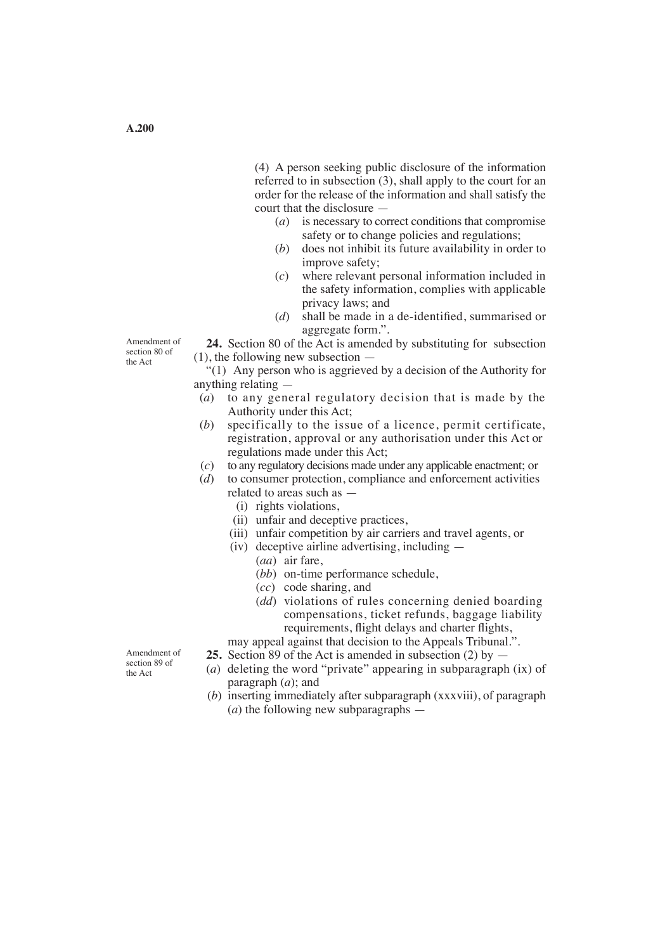(4) A person seeking public disclosure of the information referred to in subsection (3), shall apply to the court for an order for the release of the information and shall satisfy the court that the disclosure —

- (*a*) is necessary to correct conditions that compromise safety or to change policies and regulations:
- (*b*) does not inhibit its future availability in order to improve safety;
- (*c*) where relevant personal information included in the safety information, complies with applicable privacy laws; and
- (*d*) shall be made in a de-identified, summarised or aggregate form.".

**24.** Section 80 of the Act is amended by substituting for subsection (1), the following new subsection —

"(1) Any person who is aggrieved by a decision of the Authority for anything relating —

- (*a*) to any general regulatory decision that is made by the Authority under this Act;<br>(b) specifically to the issu-
- specifically to the issue of a licence, permit certificate, registration, approval or any authorisation under this Act or regulations made under this Act;
- (*c*) to any regulatory decisions made under any applicable enactment; or (*d*) to consumer protection, compliance and enforcement activities
- (*d*) to consumer protection, compliance and enforcement activities related to areas such as —
	- (i) rights violations,
	- (ii) unfair and deceptive practices,
	- (iii) unfair competition by air carriers and travel agents, or
	- (iv) deceptive airline advertising, including
		- (*aa*) air fare,
		- (*bb*) on-time performance schedule,
		- (*cc*) code sharing, and
		- (*dd*) violations of rules concerning denied boarding compensations, ticket refunds, baggage liability requirements, flight delays and charter flights,

may appeal against that decision to the Appeals Tribunal.".

- **25.** Section 89 of the Act is amended in subsection (2) by —
- (*a*) deleting the word "private" appearing in subparagraph (ix) of paragraph (*a*); and
- (*b*) inserting immediately after subparagraph (xxxviii), of paragraph (*a*) the following new subparagraphs —

Amendment of section 89 of the Act

Amendment of section 80 of the Act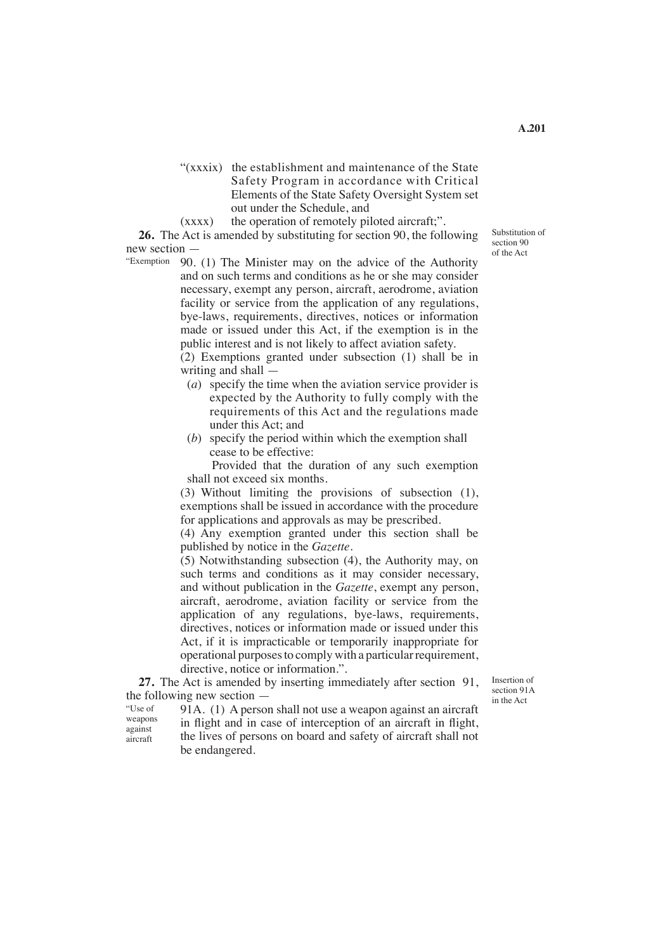- "(xxxix) the establishment and maintenance of the State Safety Program in accordance with Critical Elements of the State Safety Oversight System set out under the Schedule, and
- (xxxx) the operation of remotely piloted aircraft;".

**26.** The Act is amended by substituting for section 90, the following new section —

90. (1) The Minister may on the advice of the Authority "Exemption and on such terms and conditions as he or she may consider necessary, exempt any person, aircraft, aerodrome, aviation facility or service from the application of any regulations, bye-laws, requirements, directives, notices or information made or issued under this Act, if the exemption is in the public interest and is not likely to affect aviation safety.

(2) Exemptions granted under subsection (1) shall be in writing and shall —

- (*a*) specify the time when the aviation service provider is expected by the Authority to fully comply with the requirements of this Act and the regulations made under this Act; and
- (*b*) specify the period within which the exemption shall cease to be effective:

 Provided that the duration of any such exemption shall not exceed six months.

(3) Without limiting the provisions of subsection (1), exemptions shall be issued in accordance with the procedure for applications and approvals as may be prescribed.

(4) Any exemption granted under this section shall be published by notice in the *Gazette*.

(5) Notwithstanding subsection (4), the Authority may, on such terms and conditions as it may consider necessary, and without publication in the *Gazette*, exempt any person, aircraft, aerodrome, aviation facility or service from the application of any regulations, bye-laws, requirements, directives, notices or information made or issued under this Act, if it is impracticable or temporarily inappropriate for operational purposes to comply with a particular requirement, directive, notice or information.".

**27.** The Act is amended by inserting immediately after section 91, the following new section —

Insertion of section 91A in the Act

"Use of weapons against aircraft

91A. (1) A person shall not use a weapon against an aircraft in flight and in case of interception of an aircraft in flight, the lives of persons on board and safety of aircraft shall not be endangered.

Substitution of section 90 of the Act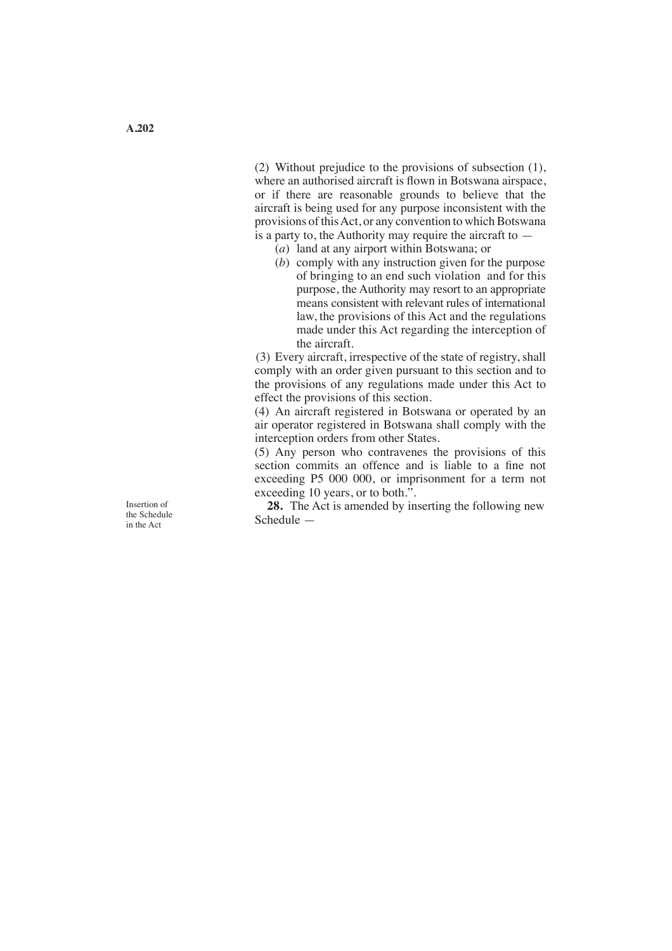(2) Without prejudice to the provisions of subsection (1), where an authorised aircraft is flown in Botswana airspace, or if there are reasonable grounds to believe that the aircraft is being used for any purpose inconsistent with the provisions of this Act, or any convention to which Botswana is a party to, the Authority may require the aircraft to  $-$ 

- (*a*) land at any airport within Botswana; or
- (*b*) comply with any instruction given for the purpose of bringing to an end such violation and for this purpose, the Authority may resort to an appropriate means consistent with relevant rules of international law, the provisions of this Act and the regulations made under this Act regarding the interception of the aircraft.

(3) Every aircraft, irrespective of the state of registry, shall comply with an order given pursuant to this section and to the provisions of any regulations made under this Act to effect the provisions of this section.

(4) An aircraft registered in Botswana or operated by an air operator registered in Botswana shall comply with the interception orders from other States.

(5) Any person who contravenes the provisions of this section commits an offence and is liable to a fine not exceeding P5 000 000, or imprisonment for a term not exceeding 10 years, or to both.".

**28.** The Act is amended by inserting the following new Schedule —

Insertion of the Schedule in the Act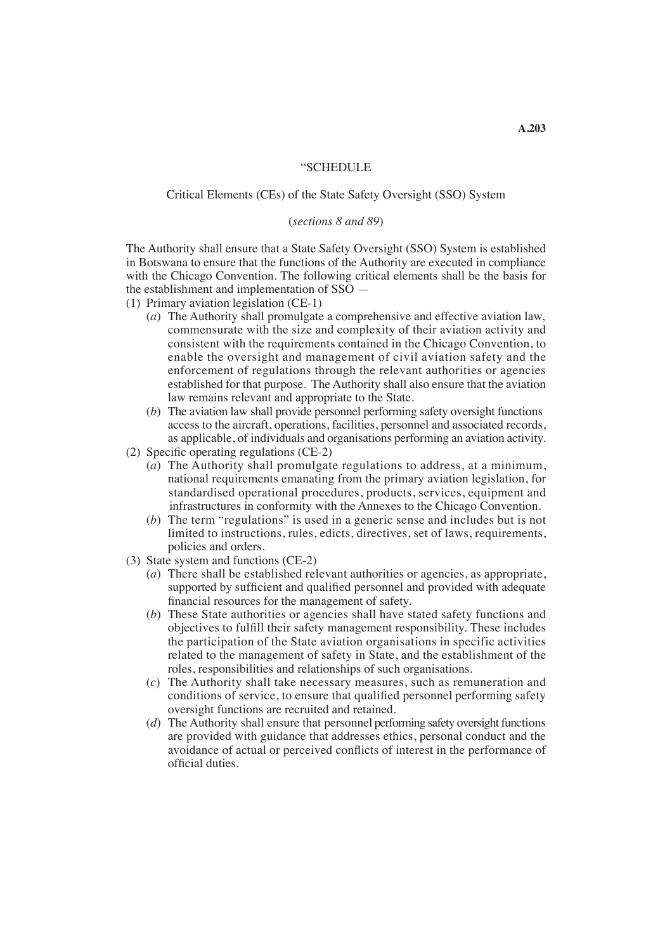### "SCHEDULE

# Critical Elements (CEs) of the State Safety Oversight (SSO) System

#### (*sections 8 and 89*)

The Authority shall ensure that a State Safety Oversight (SSO) System is established in Botswana to ensure that the functions of the Authority are executed in compliance with the Chicago Convention. The following critical elements shall be the basis for the establishment and implementation of SSO —

(1) Primary aviation legislation (CE-1)

- (*a*) The Authority shall promulgate a comprehensive and effective aviation law, commensurate with the size and complexity of their aviation activity and consistent with the requirements contained in the Chicago Convention, to enable the oversight and management of civil aviation safety and the enforcement of regulations through the relevant authorities or agencies established for that purpose. The Authority shall also ensure that the aviation law remains relevant and appropriate to the State.
- (*b*) The aviation law shall provide personnel performing safety oversight functions access to the aircraft, operations, facilities, personnel and associated records, as applicable, of individuals and organisations performing an aviation activity.
- (2) Specific operating regulations (CE-2)
	- (*a*) The Authority shall promulgate regulations to address, at a minimum, national requirements emanating from the primary aviation legislation, for standardised operational procedures, products, services, equipment and infrastructures in conformity with the Annexes to the Chicago Convention.
	- (*b*) The term "regulations" is used in a generic sense and includes but is not limited to instructions, rules, edicts, directives, set of laws, requirements, policies and orders.
- (3) State system and functions (CE-2)
	- (*a*) There shall be established relevant authorities or agencies, as appropriate, supported by sufficient and qualified personnel and provided with adequate financial resources for the management of safety.
	- (*b*) These State authorities or agencies shall have stated safety functions and objectives to fulfill their safety management responsibility. These includes the participation of the State aviation organisations in specific activities related to the management of safety in State, and the establishment of the roles, responsibilities and relationships of such organisations.
	- (*c*) The Authority shall take necessary measures, such as remuneration and conditions of service, to ensure that qualified personnel performing safety oversight functions are recruited and retained.
	- (*d*) The Authority shall ensure that personnel performing safety oversight functions are provided with guidance that addresses ethics, personal conduct and the avoidance of actual or perceived conflicts of interest in the performance of official duties.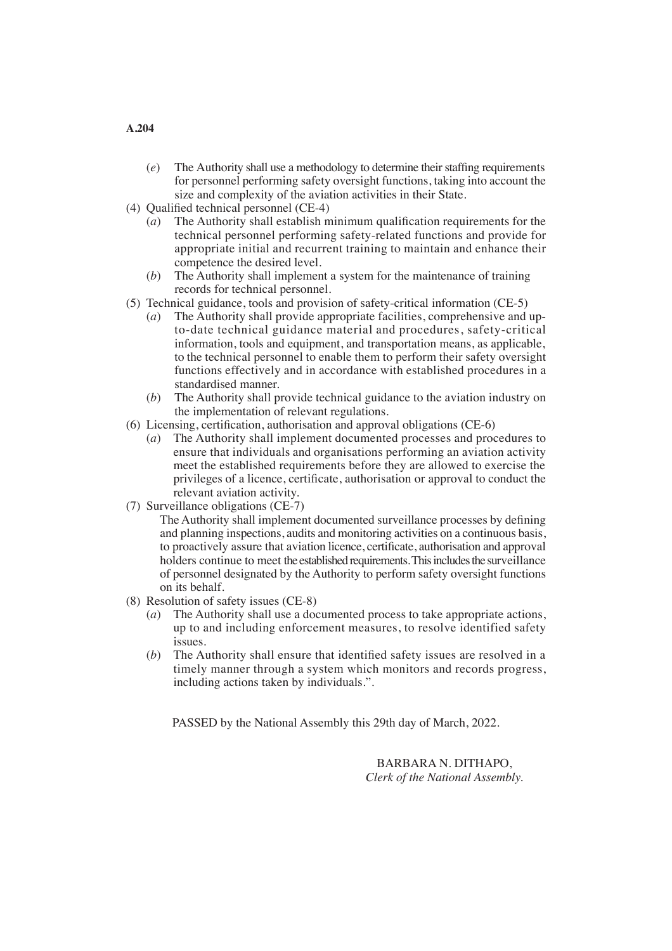- (*e*) The Authority shall use a methodology to determine their staffing requirements for personnel performing safety oversight functions, taking into account the size and complexity of the aviation activities in their State.
- (4) Qualified technical personnel (CE-4)
	- (*a*) The Authority shall establish minimum qualification requirements for the technical personnel performing safety-related functions and provide for appropriate initial and recurrent training to maintain and enhance their competence the desired level.
	- (*b*) The Authority shall implement a system for the maintenance of training records for technical personnel.
- (5) Technical guidance, tools and provision of safety-critical information (CE-5)
	- (*a*) The Authority shall provide appropriate facilities, comprehensive and up to-date technical guidance material and procedures, safety-critical information, tools and equipment, and transportation means, as applicable, to the technical personnel to enable them to perform their safety oversight functions effectively and in accordance with established procedures in a standardised manner.
	- (*b*) The Authority shall provide technical guidance to the aviation industry on the implementation of relevant regulations.
- (6) Licensing, certification, authorisation and approval obligations ( $CE-6$ )
	- (*a*) The Authority shall implement documented processes and procedures to ensure that individuals and organisations performing an aviation activity meet the established requirements before they are allowed to exercise the privileges of a licence, certificate, authorisation or approval to conduct the relevant aviation activity.
- (7) Surveillance obligations (CE-7)
	- The Authority shall implement documented surveillance processes by defining and planning inspections, audits and monitoring activities on a continuous basis, to proactively assure that aviation licence, certificate, authorisation and approval holders continue to meet the established requirements. This includes the surveillance of personnel designated by the Authority to perform safety oversight functions on its behalf.
- (8) Resolution of safety issues (CE-8)
	- (*a*) The Authority shall use a documented process to take appropriate actions, up to and including enforcement measures, to resolve identified safety issues.
	- (*b*) The Authority shall ensure that identified safety issues are resolved in a timely manner through a system which monitors and records progress, including actions taken by individuals.".

PASSED by the National Assembly this 29th day of March, 2022.

BARBARA N. DITHAPO, *Clerk of the National Assembly.*

# **A.204**